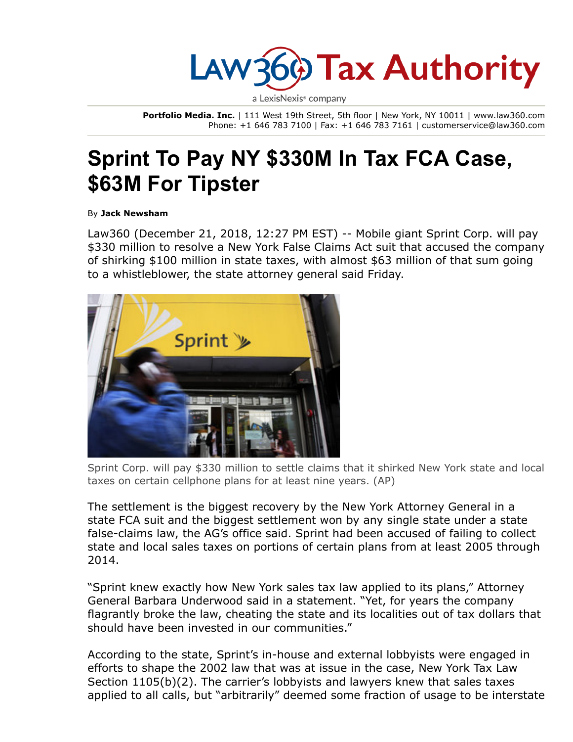

a LexisNexis<sup>®</sup> company

Portfolio Media. Inc. | 111 West 19th Street, 5th floor | New York, NY 10011 | www.law360.com Phone: +1 646 783 7100 | Fax: +1 646 783 7161 | customerservice@law360.com

## Sprint To Pay NY \$330M In Tax FCA Case, \$63M For Tipster

By Jack Newsham

Law360 (December 21, 2018, 12:27 PM EST) -- Mobile giant Sprint Corp. will pay \$330 million to resolve a New York False Claims Act suit that accused the company of shirking \$100 million in state taxes, with almost \$63 million of that sum going to a whistleblower, the state attorney general said Friday.



Sprint Corp. will pay \$330 million to settle claims that it shirked New York state and local taxes on certain cellphone plans for at least nine years. (AP)

The settlement is the biggest recovery by the New York Attorney General in a state FCA suit and the biggest settlement won by any single state under a state false-claims law, the AG's office said. Sprint had been accused of failing to collect state and local sales taxes on portions of certain plans from at least 2005 through 2014.

"Sprint knew exactly how New York sales tax law applied to its plans," Attorney General Barbara Underwood said in a statement. "Yet, for years the company flagrantly broke the law, cheating the state and its localities out of tax dollars that should have been invested in our communities."

According to the state, Sprint's in-house and external lobbyists were engaged in efforts to shape the 2002 law that was at issue in the case, New York Tax Law Section 1105(b)(2). The carrier's lobbyists and lawyers knew that sales taxes applied to all calls, but "arbitrarily" deemed some fraction of usage to be interstate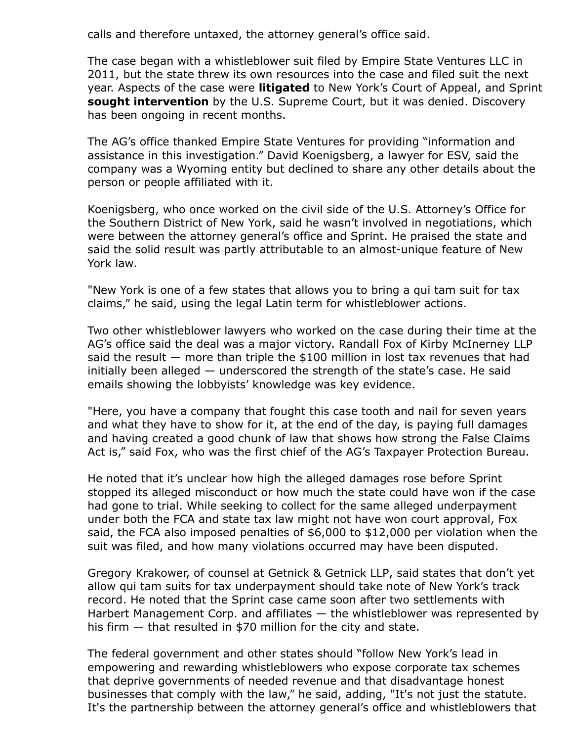calls and therefore untaxed, the attorney general's office said.

The case began with a whistleblower suit filed by Empire State Ventures LLC in 2011, but the state threw its own resources into the case and filed suit the next year. Aspects of the case were [litigated](https://www.law360.com/articles/547591) to New York's Court of Appeal, and Sprint sought [intervention](https://www.law360.com/articles/801777) by the U.S. [Supreme](https://www.law360.com/agencies/u-s-supreme-court) Court, but it was denied. Discovery has been ongoing in recent months.

The AG's office thanked Empire State Ventures for providing "information and assistance in this investigation." David Koenigsberg, a lawyer for ESV, said the company was a Wyoming entity but declined to share any other details about the person or people affiliated with it.

Koenigsberg, who once worked on the civil side of the U.S. [Attorney's](https://www.law360.com/agencies/u-s-attorney-s-office) Office for the Southern District of New York, said he wasn't involved in negotiations, which were between the attorney general's office and Sprint. He praised the state and said the solid result was partly attributable to an almost-unique feature of New York law.

"New York is one of a few states that allows you to bring a qui tam suit for tax claims," he said, using the legal Latin term for whistleblower actions.

Two other whistleblower lawyers who worked on the case during their time at the AG's office said the deal was a major victory. Randall Fox of Kirby [McInerney](https://www.law360.com/firms/kirby-mcinerney) LLP said the result  $-$  more than triple the \$100 million in lost tax revenues that had initially been alleged — underscored the strength of the state's case. He said emails showing the lobbyists' knowledge was key evidence.

"Here, you have a company that fought this case tooth and nail for seven years and what they have to show for it, at the end of the day, is paying full damages and having created a good chunk of law that shows how strong the False Claims Act is," said Fox, who was the first chief of the AG's Taxpayer Protection Bureau.

He noted that it's unclear how high the alleged damages rose before Sprint stopped its alleged misconduct or how much the state could have won if the case had gone to trial. While seeking to collect for the same alleged underpayment under both the FCA and state tax law might not have won court approval, Fox said, the FCA also imposed penalties of \$6,000 to \$12,000 per violation when the suit was filed, and how many violations occurred may have been disputed.

Gregory Krakower, of counsel at [Getnick](https://www.law360.com/firms/getnick-getnick) & Getnick LLP, said states that don't yet allow qui tam suits for tax underpayment should take note of New York's track record. He noted that the Sprint case came soon after two settlements with Harbert [Management](https://www.law360.com/companies/harbert-management-corp) Corp. and affiliates — the whistleblower was represented by his firm — that resulted in \$70 million for the city and state.

The federal government and other states should "follow New York's lead in empowering and rewarding whistleblowers who expose corporate tax schemes that deprive governments of needed revenue and that disadvantage honest businesses that comply with the law," he said, adding, "It's not just the statute. It's the partnership between the attorney general's office and whistleblowers that